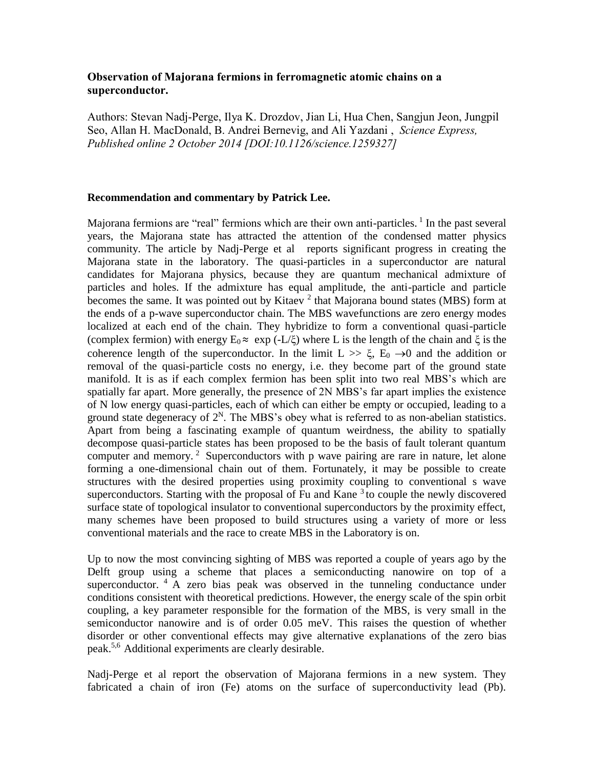## **Observation of Majorana fermions in ferromagnetic atomic chains on a superconductor.**

Authors: Stevan Nadj-Perge, Ilya K. Drozdov, Jian Li, Hua Chen, Sangjun Jeon, Jungpil Seo, Allan H. MacDonald, B. Andrei Bernevig, and Ali Yazdani , *Science Express, Published online 2 October 2014 [DOI:10.1126/science.1259327]* 

## **Recommendation and commentary by Patrick Lee.**

Majorana fermions are "real" fermions which are their own anti-particles. <sup>1</sup> In the past several years, the Majorana state has attracted the attention of the condensed matter physics community. The article by Nadj-Perge et al reports significant progress in creating the Majorana state in the laboratory. The quasi-particles in a superconductor are natural candidates for Majorana physics, because they are quantum mechanical admixture of particles and holes. If the admixture has equal amplitude, the anti-particle and particle becomes the same. It was pointed out by Kitaev<sup>2</sup> that Majorana bound states (MBS) form at the ends of a p-wave superconductor chain. The MBS wavefunctions are zero energy modes localized at each end of the chain. They hybridize to form a conventional quasi-particle (complex fermion) with energy  $E_0 \approx \exp(-L/\xi)$  where L is the length of the chain and  $\xi$  is the coherence length of the superconductor. In the limit  $L \gg \xi$ ,  $E_0 \rightarrow 0$  and the addition or removal of the quasi-particle costs no energy, i.e. they become part of the ground state manifold. It is as if each complex fermion has been split into two real MBS's which are spatially far apart. More generally, the presence of 2N MBS's far apart implies the existence of N low energy quasi-particles, each of which can either be empty or occupied, leading to a ground state degeneracy of  $2<sup>N</sup>$ . The MBS's obey what is referred to as non-abelian statistics. Apart from being a fascinating example of quantum weirdness, the ability to spatially decompose quasi-particle states has been proposed to be the basis of fault tolerant quantum computer and memory.<sup>2</sup> Superconductors with p wave pairing are rare in nature, let alone forming a one-dimensional chain out of them. Fortunately, it may be possible to create structures with the desired properties using proximity coupling to conventional s wave superconductors. Starting with the proposal of Fu and Kane  $3$  to couple the newly discovered surface state of topological insulator to conventional superconductors by the proximity effect, many schemes have been proposed to build structures using a variety of more or less conventional materials and the race to create MBS in the Laboratory is on.

Up to now the most convincing sighting of MBS was reported a couple of years ago by the Delft group using a scheme that places a semiconducting nanowire on top of a superconductor.  $4 \text{ A}$  zero bias peak was observed in the tunneling conductance under conditions consistent with theoretical predictions. However, the energy scale of the spin orbit coupling, a key parameter responsible for the formation of the MBS, is very small in the semiconductor nanowire and is of order 0.05 meV. This raises the question of whether disorder or other conventional effects may give alternative explanations of the zero bias peak.5,6 Additional experiments are clearly desirable.

Nadj-Perge et al report the observation of Majorana fermions in a new system. They fabricated a chain of iron (Fe) atoms on the surface of superconductivity lead (Pb).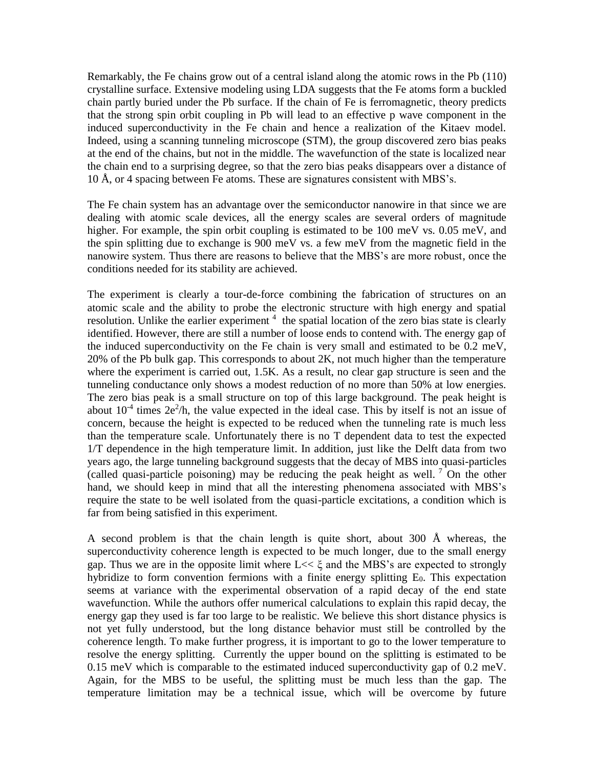Remarkably, the Fe chains grow out of a central island along the atomic rows in the Pb (110) crystalline surface. Extensive modeling using LDA suggests that the Fe atoms form a buckled chain partly buried under the Pb surface. If the chain of Fe is ferromagnetic, theory predicts that the strong spin orbit coupling in Pb will lead to an effective p wave component in the induced superconductivity in the Fe chain and hence a realization of the Kitaev model. Indeed, using a scanning tunneling microscope (STM), the group discovered zero bias peaks at the end of the chains, but not in the middle. The wavefunction of the state is localized near the chain end to a surprising degree, so that the zero bias peaks disappears over a distance of 10 Å, or 4 spacing between Fe atoms. These are signatures consistent with MBS's.

The Fe chain system has an advantage over the semiconductor nanowire in that since we are dealing with atomic scale devices, all the energy scales are several orders of magnitude higher. For example, the spin orbit coupling is estimated to be 100 meV vs. 0.05 meV, and the spin splitting due to exchange is 900 meV vs. a few meV from the magnetic field in the nanowire system. Thus there are reasons to believe that the MBS's are more robust, once the conditions needed for its stability are achieved.

The experiment is clearly a tour-de-force combining the fabrication of structures on an atomic scale and the ability to probe the electronic structure with high energy and spatial resolution. Unlike the earlier experiment  $4$  the spatial location of the zero bias state is clearly identified. However, there are still a number of loose ends to contend with. The energy gap of the induced superconductivity on the Fe chain is very small and estimated to be 0.2 meV, 20% of the Pb bulk gap. This corresponds to about 2K, not much higher than the temperature where the experiment is carried out, 1.5K. As a result, no clear gap structure is seen and the tunneling conductance only shows a modest reduction of no more than 50% at low energies. The zero bias peak is a small structure on top of this large background. The peak height is about  $10<sup>-4</sup>$  times  $2e<sup>2</sup>/h$ , the value expected in the ideal case. This by itself is not an issue of concern, because the height is expected to be reduced when the tunneling rate is much less than the temperature scale. Unfortunately there is no T dependent data to test the expected 1/T dependence in the high temperature limit. In addition, just like the Delft data from two years ago, the large tunneling background suggests that the decay of MBS into quasi-particles (called quasi-particle poisoning) may be reducing the peak height as well.  $\frac{7}{1}$  On the other hand, we should keep in mind that all the interesting phenomena associated with MBS's require the state to be well isolated from the quasi-particle excitations, a condition which is far from being satisfied in this experiment.

A second problem is that the chain length is quite short, about 300 Å whereas, the superconductivity coherence length is expected to be much longer, due to the small energy gap. Thus we are in the opposite limit where L<< ξ and the MBS's are expected to strongly hybridize to form convention fermions with a finite energy splitting  $E_0$ . This expectation seems at variance with the experimental observation of a rapid decay of the end state wavefunction. While the authors offer numerical calculations to explain this rapid decay, the energy gap they used is far too large to be realistic. We believe this short distance physics is not yet fully understood, but the long distance behavior must still be controlled by the coherence length. To make further progress, it is important to go to the lower temperature to resolve the energy splitting. Currently the upper bound on the splitting is estimated to be 0.15 meV which is comparable to the estimated induced superconductivity gap of 0.2 meV. Again, for the MBS to be useful, the splitting must be much less than the gap. The temperature limitation may be a technical issue, which will be overcome by future